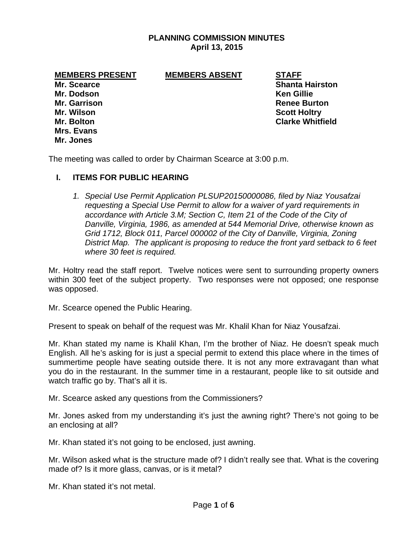## **PLANNING COMMISSION MINUTES April 13, 2015**

#### **MEMBERS PRESENT MEMBERS ABSENT STAFF**

**Mr. Dodson Ken Gillie Mr. Wilson Scott Holtry Mrs. Evans Mr. Jones** 

**Mr. Scearce Shanta Hairston Community** Shanta Hairston **Shanta Hairston Mr. Garrison Renee Burton Mr. Bolton Clarke Whitfield** 

The meeting was called to order by Chairman Scearce at 3:00 p.m.

## **I. ITEMS FOR PUBLIC HEARING**

*1. Special Use Permit Application PLSUP20150000086, filed by Niaz Yousafzai requesting a Special Use Permit to allow for a waiver of yard requirements in accordance with Article 3.M; Section C, Item 21 of the Code of the City of Danville, Virginia, 1986, as amended at 544 Memorial Drive, otherwise known as Grid 1712, Block 011, Parcel 000002 of the City of Danville, Virginia, Zoning District Map. The applicant is proposing to reduce the front yard setback to 6 feet where 30 feet is required.* 

Mr. Holtry read the staff report. Twelve notices were sent to surrounding property owners within 300 feet of the subject property. Two responses were not opposed; one response was opposed.

Mr. Scearce opened the Public Hearing.

Present to speak on behalf of the request was Mr. Khalil Khan for Niaz Yousafzai.

Mr. Khan stated my name is Khalil Khan, I'm the brother of Niaz. He doesn't speak much English. All he's asking for is just a special permit to extend this place where in the times of summertime people have seating outside there. It is not any more extravagant than what you do in the restaurant. In the summer time in a restaurant, people like to sit outside and watch traffic go by. That's all it is.

Mr. Scearce asked any questions from the Commissioners?

Mr. Jones asked from my understanding it's just the awning right? There's not going to be an enclosing at all?

Mr. Khan stated it's not going to be enclosed, just awning.

Mr. Wilson asked what is the structure made of? I didn't really see that. What is the covering made of? Is it more glass, canvas, or is it metal?

Mr. Khan stated it's not metal.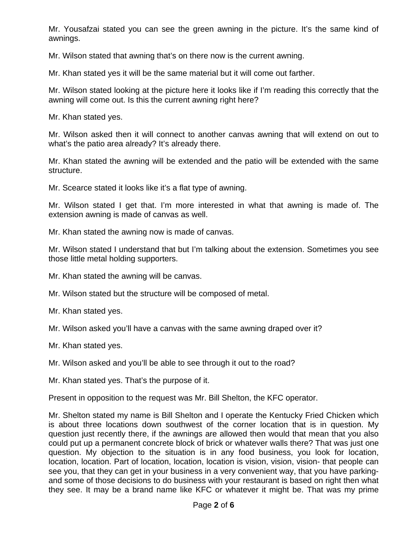Mr. Yousafzai stated you can see the green awning in the picture. It's the same kind of awnings.

Mr. Wilson stated that awning that's on there now is the current awning.

Mr. Khan stated yes it will be the same material but it will come out farther.

Mr. Wilson stated looking at the picture here it looks like if I'm reading this correctly that the awning will come out. Is this the current awning right here?

Mr. Khan stated yes.

Mr. Wilson asked then it will connect to another canvas awning that will extend on out to what's the patio area already? It's already there.

Mr. Khan stated the awning will be extended and the patio will be extended with the same structure.

Mr. Scearce stated it looks like it's a flat type of awning.

Mr. Wilson stated I get that. I'm more interested in what that awning is made of. The extension awning is made of canvas as well.

Mr. Khan stated the awning now is made of canvas.

Mr. Wilson stated I understand that but I'm talking about the extension. Sometimes you see those little metal holding supporters.

Mr. Khan stated the awning will be canvas.

Mr. Wilson stated but the structure will be composed of metal.

Mr. Khan stated yes.

Mr. Wilson asked you'll have a canvas with the same awning draped over it?

Mr. Khan stated yes.

Mr. Wilson asked and you'll be able to see through it out to the road?

Mr. Khan stated yes. That's the purpose of it.

Present in opposition to the request was Mr. Bill Shelton, the KFC operator.

Mr. Shelton stated my name is Bill Shelton and I operate the Kentucky Fried Chicken which is about three locations down southwest of the corner location that is in question. My question just recently there, if the awnings are allowed then would that mean that you also could put up a permanent concrete block of brick or whatever walls there? That was just one question. My objection to the situation is in any food business, you look for location, location, location. Part of location, location, location is vision, vision, vision- that people can see you, that they can get in your business in a very convenient way, that you have parkingand some of those decisions to do business with your restaurant is based on right then what they see. It may be a brand name like KFC or whatever it might be. That was my prime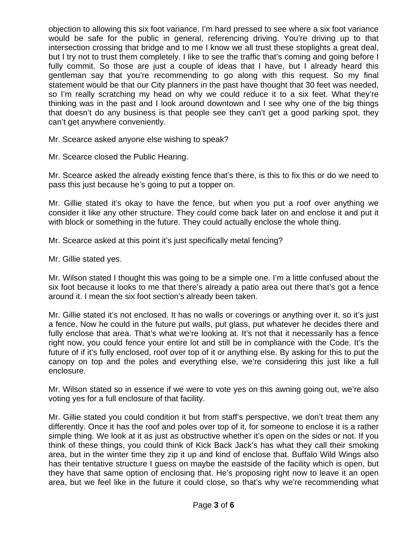objection to allowing this six foot variance. I'm hard pressed to see where a six foot variance would be safe for the public in general, referencing driving. You're driving up to that intersection crossing that bridge and to me I know we all trust these stoplights a great deal, but I try not to trust them completely. I like to see the traffic that's coming and going before I fully commit. So those are just a couple of ideas that I have, but I already heard this gentleman say that you're recommending to go along with this request. So my final statement would be that our City planners in the past have thought that 30 feet was needed, so I'm really scratching my head on why we could reduce it to a six feet. What they're thinking was in the past and I look around downtown and I see why one of the big things that doesn't do any business is that people see they can't get a good parking spot, they can't get anywhere conveniently.

Mr. Scearce asked anyone else wishing to speak?

Mr. Scearce closed the Public Hearing.

Mr. Scearce asked the already existing fence that's there, is this to fix this or do we need to pass this just because he's going to put a topper on.

Mr. Gillie stated it's okay to have the fence, but when you put a roof over anything we consider it like any other structure. They could come back later on and enclose it and put it with block or something in the future. They could actually enclose the whole thing.

Mr. Scearce asked at this point it's just specifically metal fencing?

Mr. Gillie stated yes.

Mr. Wilson stated I thought this was going to be a simple one. I'm a little confused about the six foot because it looks to me that there's already a patio area out there that's got a fence around it. I mean the six foot section's already been taken.

Mr. Gillie stated it's not enclosed. It has no walls or coverings or anything over it, so it's just a fence. Now he could in the future put walls, put glass, put whatever he decides there and fully enclose that area. That's what we're looking at. It's not that it necessarily has a fence right now, you could fence your entire lot and still be in compliance with the Code. It's the future of if it's fully enclosed, roof over top of it or anything else. By asking for this to put the canopy on top and the poles and everything else, we're considering this just like a full enclosure.

Mr. Wilson stated so in essence if we were to vote yes on this awning going out, we're also voting yes for a full enclosure of that facility.

Mr. Gillie stated you could condition it but from staff's perspective, we don't treat them any differently. Once it has the roof and poles over top of it, for someone to enclose it is a rather simple thing. We look at it as just as obstructive whether it's open on the sides or not. If you think of these things, you could think of Kick Back Jack's has what they call their smoking area, but in the winter time they zip it up and kind of enclose that. Buffalo Wild Wings also has their tentative structure I guess on maybe the eastside of the facility which is open, but they have that same option of enclosing that. He's proposing right now to leave it an open area, but we feel like in the future it could close, so that's why we're recommending what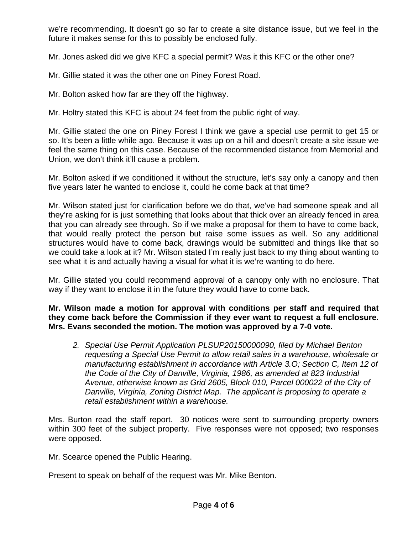we're recommending. It doesn't go so far to create a site distance issue, but we feel in the future it makes sense for this to possibly be enclosed fully.

Mr. Jones asked did we give KFC a special permit? Was it this KFC or the other one?

Mr. Gillie stated it was the other one on Piney Forest Road.

Mr. Bolton asked how far are they off the highway.

Mr. Holtry stated this KFC is about 24 feet from the public right of way.

Mr. Gillie stated the one on Piney Forest I think we gave a special use permit to get 15 or so. It's been a little while ago. Because it was up on a hill and doesn't create a site issue we feel the same thing on this case. Because of the recommended distance from Memorial and Union, we don't think it'll cause a problem.

Mr. Bolton asked if we conditioned it without the structure, let's say only a canopy and then five years later he wanted to enclose it, could he come back at that time?

Mr. Wilson stated just for clarification before we do that, we've had someone speak and all they're asking for is just something that looks about that thick over an already fenced in area that you can already see through. So if we make a proposal for them to have to come back, that would really protect the person but raise some issues as well. So any additional structures would have to come back, drawings would be submitted and things like that so we could take a look at it? Mr. Wilson stated I'm really just back to my thing about wanting to see what it is and actually having a visual for what it is we're wanting to do here.

Mr. Gillie stated you could recommend approval of a canopy only with no enclosure. That way if they want to enclose it in the future they would have to come back.

**Mr. Wilson made a motion for approval with conditions per staff and required that they come back before the Commission if they ever want to request a full enclosure. Mrs. Evans seconded the motion. The motion was approved by a 7-0 vote.** 

*2. Special Use Permit Application PLSUP20150000090, filed by Michael Benton requesting a Special Use Permit to allow retail sales in a warehouse, wholesale or manufacturing establishment in accordance with Article 3.O; Section C, Item 12 of the Code of the City of Danville, Virginia, 1986, as amended at 823 Industrial Avenue, otherwise known as Grid 2605, Block 010, Parcel 000022 of the City of Danville, Virginia, Zoning District Map. The applicant is proposing to operate a retail establishment within a warehouse.* 

Mrs. Burton read the staff report. 30 notices were sent to surrounding property owners within 300 feet of the subject property. Five responses were not opposed; two responses were opposed.

Mr. Scearce opened the Public Hearing.

Present to speak on behalf of the request was Mr. Mike Benton.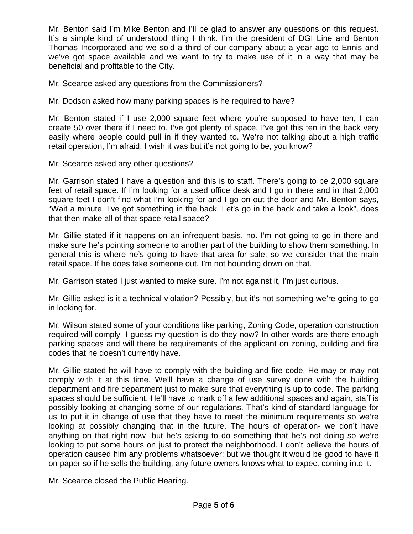Mr. Benton said I'm Mike Benton and I'll be glad to answer any questions on this request. It's a simple kind of understood thing I think. I'm the president of DGI Line and Benton Thomas Incorporated and we sold a third of our company about a year ago to Ennis and we've got space available and we want to try to make use of it in a way that may be beneficial and profitable to the City.

Mr. Scearce asked any questions from the Commissioners?

Mr. Dodson asked how many parking spaces is he required to have?

Mr. Benton stated if I use 2,000 square feet where you're supposed to have ten, I can create 50 over there if I need to. I've got plenty of space. I've got this ten in the back very easily where people could pull in if they wanted to. We're not talking about a high traffic retail operation, I'm afraid. I wish it was but it's not going to be, you know?

Mr. Scearce asked any other questions?

Mr. Garrison stated I have a question and this is to staff. There's going to be 2,000 square feet of retail space. If I'm looking for a used office desk and I go in there and in that 2,000 square feet I don't find what I'm looking for and I go on out the door and Mr. Benton says, "Wait a minute, I've got something in the back. Let's go in the back and take a look", does that then make all of that space retail space?

Mr. Gillie stated if it happens on an infrequent basis, no. I'm not going to go in there and make sure he's pointing someone to another part of the building to show them something. In general this is where he's going to have that area for sale, so we consider that the main retail space. If he does take someone out, I'm not hounding down on that.

Mr. Garrison stated I just wanted to make sure. I'm not against it, I'm just curious.

Mr. Gillie asked is it a technical violation? Possibly, but it's not something we're going to go in looking for.

Mr. Wilson stated some of your conditions like parking, Zoning Code, operation construction required will comply- I guess my question is do they now? In other words are there enough parking spaces and will there be requirements of the applicant on zoning, building and fire codes that he doesn't currently have.

Mr. Gillie stated he will have to comply with the building and fire code. He may or may not comply with it at this time. We'll have a change of use survey done with the building department and fire department just to make sure that everything is up to code. The parking spaces should be sufficient. He'll have to mark off a few additional spaces and again, staff is possibly looking at changing some of our regulations. That's kind of standard language for us to put it in change of use that they have to meet the minimum requirements so we're looking at possibly changing that in the future. The hours of operation- we don't have anything on that right now- but he's asking to do something that he's not doing so we're looking to put some hours on just to protect the neighborhood. I don't believe the hours of operation caused him any problems whatsoever; but we thought it would be good to have it on paper so if he sells the building, any future owners knows what to expect coming into it.

Mr. Scearce closed the Public Hearing.